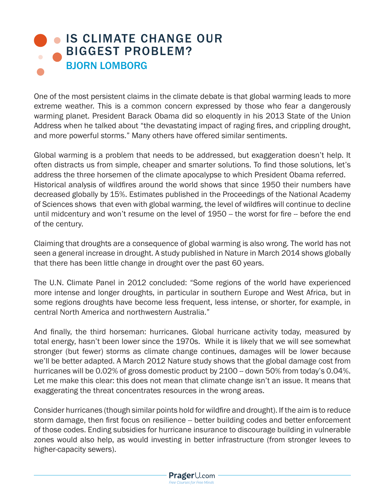## **• [IS CLIMATE CHANGE OUR](https://www.prageru.com/courses/environmental-science/climate-change-our-biggest-problem)** BIGGEST PROBLEM? BJORN LOMBORG

One of the most persistent claims in the climate debate is that global warming leads to more extreme weather. This is a common concern expressed by those who fear a dangerously warming planet. President Barack Obama did so eloquently in his 2013 State of the Union Address when he talked about "the devastating impact of raging fires, and crippling drought, and more powerful storms." Many others have offered similar sentiments.

Global warming is a problem that needs to be addressed, but exaggeration doesn't help. It often distracts us from simple, cheaper and smarter solutions. To find those solutions, let's address the three horsemen of the climate apocalypse to which President Obama referred. Historical analysis of wildfires around the world shows that since 1950 their numbers have decreased globally by 15%. Estimates published in the Proceedings of the National Academy of Sciences shows that even with global warming, the level of wildfires will continue to decline until midcentury and won't resume on the level of 1950 -- the worst for fire -- before the end of the century.

Claiming that droughts are a consequence of global warming is also wrong. The world has not seen a general increase in drought. A study published in Nature in March 2014 shows globally that there has been little change in drought over the past 60 years.

The U.N. Climate Panel in 2012 concluded: "Some regions of the world have experienced more intense and longer droughts, in particular in southern Europe and West Africa, but in some regions droughts have become less frequent, less intense, or shorter, for example, in central North America and northwestern Australia."

And finally, the third horseman: hurricanes. Global hurricane activity today, measured by total energy, hasn't been lower since the 1970s. While it is likely that we will see somewhat stronger (but fewer) storms as climate change continues, damages will be lower because we'll be better adapted. A March 2012 Nature study shows that the global damage cost from hurricanes will be 0.02% of gross domestic product by 2100 -- down 50% from today's 0.04%. Let me make this clear: this does not mean that climate change isn't an issue. It means that exaggerating the threat concentrates resources in the wrong areas.

Consider hurricanes (though similar points hold for wildfire and drought). If the aim is to reduce storm damage, then first focus on resilience -- better building codes and better enforcement of those codes. Ending subsidies for hurricane insurance to discourage building in vulnerable zones would also help, as would investing in better infrastructure (from stronger levees to higher-capacity sewers).